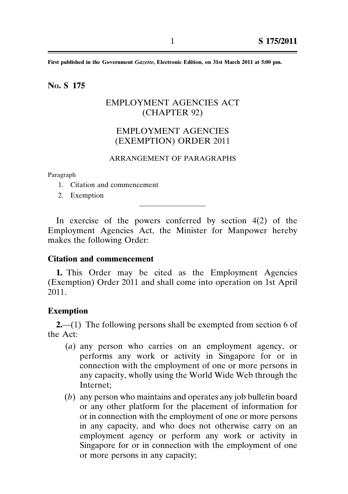**First published in the Government** *Gazette***, Electronic Edition, on 31st March 2011 at 5:00 pm.**

## **NO. S 175**

## EMPLOYMENT AGENCIES ACT (CHAPTER 92)

# EMPLOYMENT AGENCIES (EXEMPTION) ORDER 2011

#### ARRANGEMENT OF PARAGRAPHS

Paragraph

- 1. Citation and commencement
- 2. Exemption

In exercise of the powers conferred by section  $4(2)$  of the Employment Agencies Act, the Minister for Manpower hereby makes the following Order:

### **Citation and commencement**

**1.** This Order may be cited as the Employment Agencies (Exemption) Order 2011 and shall come into operation on 1st April 2011.

#### **Exemption**

**2.**—(1) The following persons shall be exempted from section 6 of the Act:

- (*a*) any person who carries on an employment agency, or performs any work or activity in Singapore for or in connection with the employment of one or more persons in any capacity, wholly using the World Wide Web through the Internet;
- (*b*) any person who maintains and operates any job bulletin board or any other platform for the placement of information for or in connection with the employment of one or more persons in any capacity, and who does not otherwise carry on an employment agency or perform any work or activity in Singapore for or in connection with the employment of one or more persons in any capacity;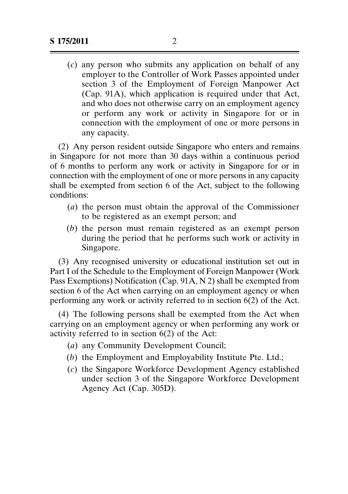(*c*) any person who submits any application on behalf of any employer to the Controller of Work Passes appointed under section 3 of the Employment of Foreign Manpower Act (Cap. 91A), which application is required under that Act, and who does not otherwise carry on an employment agency or perform any work or activity in Singapore for or in connection with the employment of one or more persons in any capacity.

(2) Any person resident outside Singapore who enters and remains in Singapore for not more than 30 days within a continuous period of 6 months to perform any work or activity in Singapore for or in connection with the employment of one or more persons in any capacity shall be exempted from section 6 of the Act, subject to the following conditions:

- (*a*) the person must obtain the approval of the Commissioner to be registered as an exempt person; and
- (*b*) the person must remain registered as an exempt person during the period that he performs such work or activity in Singapore.

(3) Any recognised university or educational institution set out in Part I of the Schedule to the Employment of Foreign Manpower (Work Pass Exemptions) Notification (Cap. 91A, N 2) shall be exempted from section 6 of the Act when carrying on an employment agency or when performing any work or activity referred to in section 6(2) of the Act.

(4) The following persons shall be exempted from the Act when carrying on an employment agency or when performing any work or activity referred to in section 6(2) of the Act:

- (*a*) any Community Development Council;
- (*b*) the Employment and Employability Institute Pte. Ltd.;
- (*c*) the Singapore Workforce Development Agency established under section 3 of the Singapore Workforce Development Agency Act (Cap. 305D).